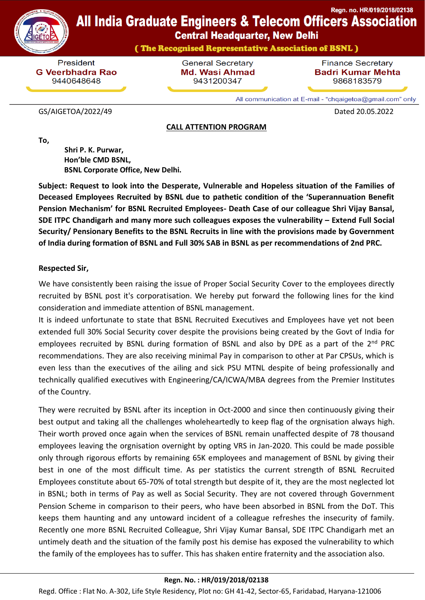

**Central Headquarter, New Delhi** 

(The Recognised Representative Association of BSNL)

President **G Veerbhadra Rao** 9440648648

**General Secretary Md. Wasi Ahmad** 9431200347

**Finance Secretary Badri Kumar Mehta** 9868183579

All communication at E-mail - "chqaigetoa@gmail.com" only

#### GS/AIGETOA/2022/49 Dated 20.05.2022

#### **CALL ATTENTION PROGRAM**

**To,**

 **Shri P. K. Purwar, Hon'ble CMD BSNL, BSNL Corporate Office, New Delhi.**

**Subject: Request to look into the Desperate, Vulnerable and Hopeless situation of the Families of Deceased Employees Recruited by BSNL due to pathetic condition of the 'Superannuation Benefit Pension Mechanism' for BSNL Recruited Employees- Death Case of our colleague Shri Vijay Bansal, SDE ITPC Chandigarh and many more such colleagues exposes the vulnerability – Extend Full Social Security/ Pensionary Benefits to the BSNL Recruits in line with the provisions made by Government of India during formation of BSNL and Full 30% SAB in BSNL as per recommendations of 2nd PRC.**

## **Respected Sir,**

We have consistently been raising the issue of Proper Social Security Cover to the employees directly recruited by BSNL post it's corporatisation. We hereby put forward the following lines for the kind consideration and immediate attention of BSNL management.

It is indeed unfortunate to state that BSNL Recruited Executives and Employees have yet not been extended full 30% Social Security cover despite the provisions being created by the Govt of India for employees recruited by BSNL during formation of BSNL and also by DPE as a part of the 2<sup>nd</sup> PRC recommendations. They are also receiving minimal Pay in comparison to other at Par CPSUs, which is even less than the executives of the ailing and sick PSU MTNL despite of being professionally and technically qualified executives with Engineering/CA/ICWA/MBA degrees from the Premier Institutes of the Country.

They were recruited by BSNL after its inception in Oct-2000 and since then continuously giving their best output and taking all the challenges wholeheartedly to keep flag of the orgnisation always high. Their worth proved once again when the services of BSNL remain unaffected despite of 78 thousand employees leaving the orgnisation overnight by opting VRS in Jan-2020. This could be made possible only through rigorous efforts by remaining 65K employees and management of BSNL by giving their best in one of the most difficult time. As per statistics the current strength of BSNL Recruited Employees constitute about 65-70% of total strength but despite of it, they are the most neglected lot in BSNL; both in terms of Pay as well as Social Security. They are not covered through Government Pension Scheme in comparison to their peers, who have been absorbed in BSNL from the DoT. This keeps them haunting and any untoward incident of a colleague refreshes the insecurity of family. Recently one more BSNL Recruited Colleague, Shri Vijay Kumar Bansal, SDE ITPC Chandigarh met an untimely death and the situation of the family post his demise has exposed the vulnerability to which the family of the employees has to suffer. This has shaken entire fraternity and the association also.

### **Regn. No. : HR/019/2018/02138**

Regd. Office : Flat No. A-302, Life Style Residency, Plot no: GH 41-42, Sector-65, Faridabad, Haryana-121006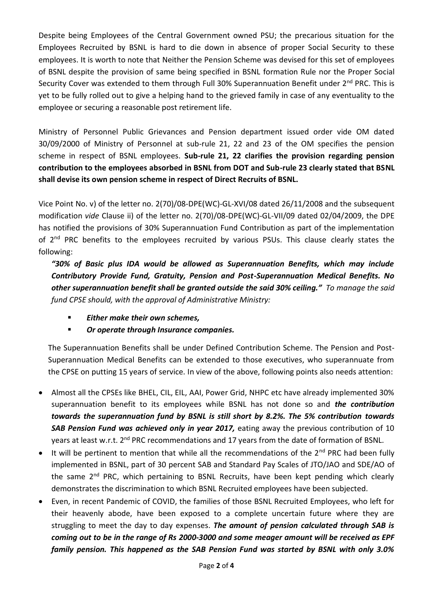Despite being Employees of the Central Government owned PSU; the precarious situation for the Employees Recruited by BSNL is hard to die down in absence of proper Social Security to these employees. It is worth to note that Neither the Pension Scheme was devised for this set of employees of BSNL despite the provision of same being specified in BSNL formation Rule nor the Proper Social Security Cover was extended to them through Full 30% Superannuation Benefit under 2<sup>nd</sup> PRC. This is yet to be fully rolled out to give a helping hand to the grieved family in case of any eventuality to the employee or securing a reasonable post retirement life.

Ministry of Personnel Public Grievances and Pension department issued order vide OM dated 30/09/2000 of Ministry of Personnel at sub-rule 21, 22 and 23 of the OM specifies the pension scheme in respect of BSNL employees. **Sub-rule 21, 22 clarifies the provision regarding pension contribution to the employees absorbed in BSNL from DOT and Sub-rule 23 clearly stated that BSNL shall devise its own pension scheme in respect of Direct Recruits of BSNL.**

Vice Point No. v) of the letter no. 2(70)/08-DPE(WC)-GL-XVI/08 dated 26/11/2008 and the subsequent modification *vide* Clause ii) of the letter no. 2(70)/08-DPE(WC)-GL-VII/09 dated 02/04/2009, the DPE has notified the provisions of 30% Superannuation Fund Contribution as part of the implementation of 2<sup>nd</sup> PRC benefits to the employees recruited by various PSUs. This clause clearly states the following:

*"30% of Basic plus IDA would be allowed as Superannuation Benefits, which may include Contributory Provide Fund, Gratuity, Pension and Post-Superannuation Medical Benefits. No other superannuation benefit shall be granted outside the said 30% ceiling." To manage the said fund CPSE should, with the approval of Administrative Ministry:*

- *Either make their own schemes,*
- *Or operate through Insurance companies.*

The Superannuation Benefits shall be under Defined Contribution Scheme. The Pension and Post-Superannuation Medical Benefits can be extended to those executives, who superannuate from the CPSE on putting 15 years of service. In view of the above, following points also needs attention:

- Almost all the CPSEs like BHEL, CIL, EIL, AAI, Power Grid, NHPC etc have already implemented 30% superannuation benefit to its employees while BSNL has not done so and *the contribution towards the superannuation fund by BSNL is still short by 8.2%. The 5% contribution towards SAB Pension Fund was achieved only in year 2017,* eating away the previous contribution of 10 years at least w.r.t. 2<sup>nd</sup> PRC recommendations and 17 years from the date of formation of BSNL.
- It will be pertinent to mention that while all the recommendations of the 2<sup>nd</sup> PRC had been fully implemented in BSNL, part of 30 percent SAB and Standard Pay Scales of JTO/JAO and SDE/AO of the same 2<sup>nd</sup> PRC, which pertaining to BSNL Recruits, have been kept pending which clearly demonstrates the discrimination to which BSNL Recruited employees have been subjected.
- Even, in recent Pandemic of COVID, the families of those BSNL Recruited Employees, who left for their heavenly abode, have been exposed to a complete uncertain future where they are struggling to meet the day to day expenses. *The amount of pension calculated through SAB is coming out to be in the range of Rs 2000-3000 and some meager amount will be received as EPF family pension. This happened as the SAB Pension Fund was started by BSNL with only 3.0%*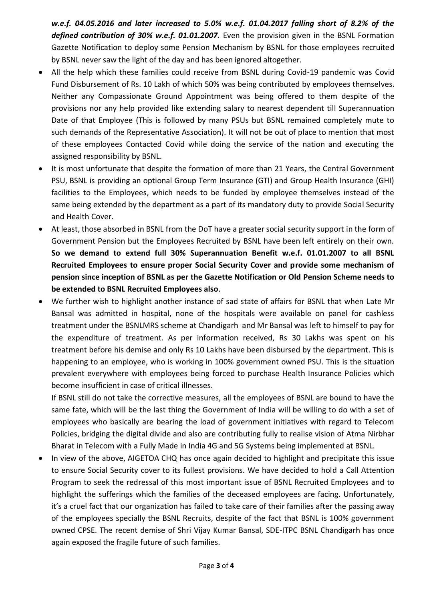*w.e.f. 04.05.2016 and later increased to 5.0% w.e.f. 01.04.2017 falling short of 8.2% of the defined contribution of 30% w.e.f. 01.01.2007.* Even the provision given in the BSNL Formation Gazette Notification to deploy some Pension Mechanism by BSNL for those employees recruited by BSNL never saw the light of the day and has been ignored altogether.

- All the help which these families could receive from BSNL during Covid-19 pandemic was Covid Fund Disbursement of Rs. 10 Lakh of which 50% was being contributed by employees themselves. Neither any Compassionate Ground Appointment was being offered to them despite of the provisions nor any help provided like extending salary to nearest dependent till Superannuation Date of that Employee (This is followed by many PSUs but BSNL remained completely mute to such demands of the Representative Association). It will not be out of place to mention that most of these employees Contacted Covid while doing the service of the nation and executing the assigned responsibility by BSNL.
- It is most unfortunate that despite the formation of more than 21 Years, the Central Government PSU, BSNL is providing an optional Group Term Insurance (GTI) and Group Health Insurance (GHI) facilities to the Employees, which needs to be funded by employee themselves instead of the same being extended by the department as a part of its mandatory duty to provide Social Security and Health Cover.
- At least, those absorbed in BSNL from the DoT have a greater social security support in the form of Government Pension but the Employees Recruited by BSNL have been left entirely on their own. **So we demand to extend full 30% Superannuation Benefit w.e.f. 01.01.2007 to all BSNL Recruited Employees to ensure proper Social Security Cover and provide some mechanism of pension since inception of BSNL as per the Gazette Notification or Old Pension Scheme needs to be extended to BSNL Recruited Employees also**.
- We further wish to highlight another instance of sad state of affairs for BSNL that when Late Mr Bansal was admitted in hospital, none of the hospitals were available on panel for cashless treatment under the BSNLMRS scheme at Chandigarh and Mr Bansal was left to himself to pay for the expenditure of treatment. As per information received, Rs 30 Lakhs was spent on his treatment before his demise and only Rs 10 Lakhs have been disbursed by the department. This is happening to an employee, who is working in 100% government owned PSU. This is the situation prevalent everywhere with employees being forced to purchase Health Insurance Policies which become insufficient in case of critical illnesses.

If BSNL still do not take the corrective measures, all the employees of BSNL are bound to have the same fate, which will be the last thing the Government of India will be willing to do with a set of employees who basically are bearing the load of government initiatives with regard to Telecom Policies, bridging the digital divide and also are contributing fully to realise vision of Atma Nirbhar Bharat in Telecom with a Fully Made in India 4G and 5G Systems being implemented at BSNL.

 In view of the above, AIGETOA CHQ has once again decided to highlight and precipitate this issue to ensure Social Security cover to its fullest provisions. We have decided to hold a Call Attention Program to seek the redressal of this most important issue of BSNL Recruited Employees and to highlight the sufferings which the families of the deceased employees are facing. Unfortunately, it's a cruel fact that our organization has failed to take care of their families after the passing away of the employees specially the BSNL Recruits, despite of the fact that BSNL is 100% government owned CPSE. The recent demise of Shri Vijay Kumar Bansal, SDE-ITPC BSNL Chandigarh has once again exposed the fragile future of such families.